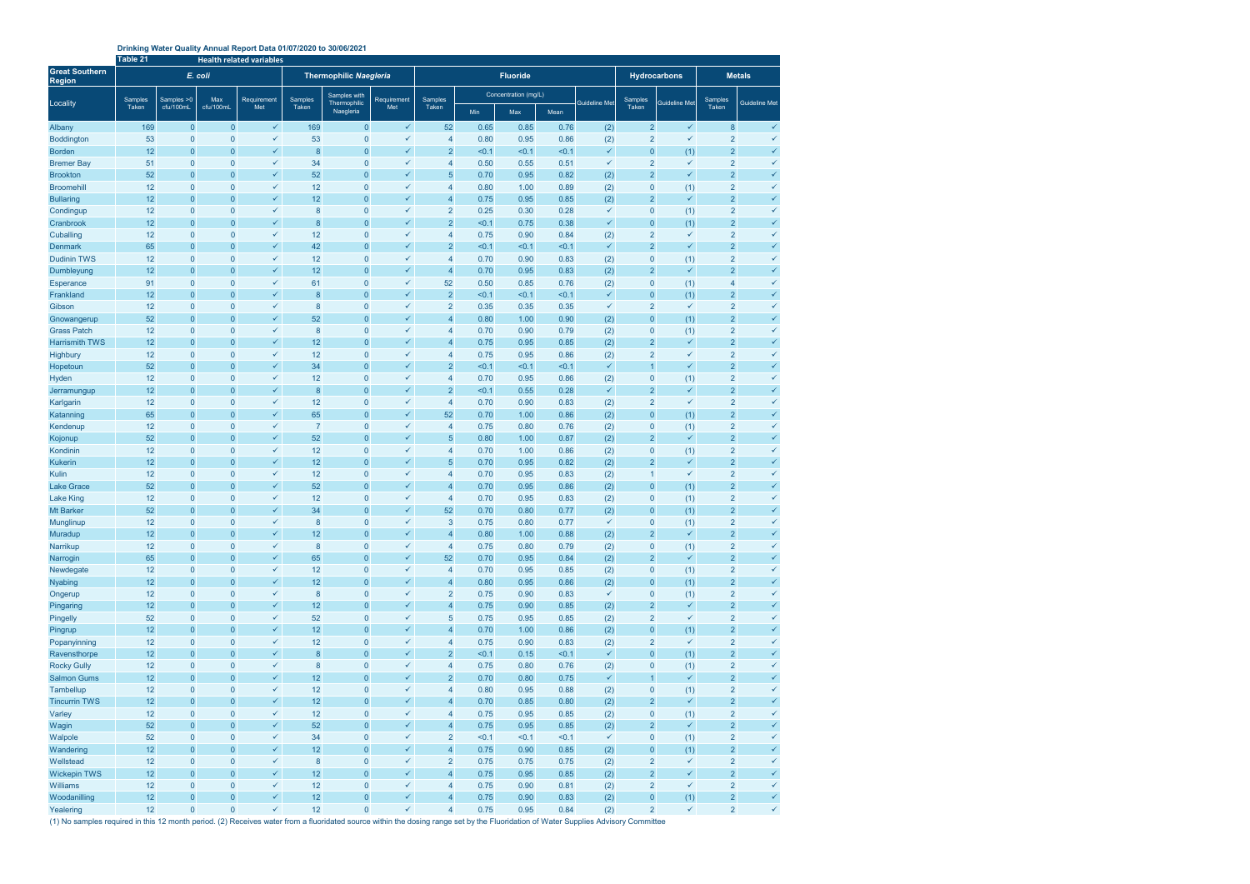## **Drinking Water Quality Annual Report Data 01/07/2020 to 30/06/2021**

|                                        | Table 21 |                                  |                             | <b>Health related variables</b> |                               |                                  |                              |                                  |                      |                 |                      |                     |                                  |                              |                                  |                              |
|----------------------------------------|----------|----------------------------------|-----------------------------|---------------------------------|-------------------------------|----------------------------------|------------------------------|----------------------------------|----------------------|-----------------|----------------------|---------------------|----------------------------------|------------------------------|----------------------------------|------------------------------|
| <b>Great Southern</b><br><b>Region</b> |          |                                  | E. coli                     |                                 | <b>Thermophilic Naegleria</b> |                                  |                              |                                  |                      | <b>Fluoride</b> |                      | <b>Hydrocarbons</b> |                                  | <b>Metals</b>                |                                  |                              |
| Locality                               | Samples  | Samples > 0<br>cfu/100mL         | Max<br>cfu/100mL            | Requirement<br>Met              | Samples<br>Taken              | Samples with<br>Thermophilic     | Requirement                  | Samples                          | Concentration (mg/L) |                 | <b>Guideline Met</b> | Samples             | Guideline Met                    | Samples                      | <b>Guideline Met</b>             |                              |
|                                        | Taken    |                                  |                             |                                 |                               | Naegleria                        | Met                          | Taken                            | Min                  | Max             | Mean                 |                     | Taken                            |                              | <b>Taken</b>                     |                              |
| Albany                                 | 169      | $\overline{0}$                   | $\mathbf 0$                 | $\checkmark$                    | 169                           | $\mathbf{0}$                     | $\checkmark$                 | 52                               | 0.65                 | 0.85            | 0.76                 | (2)                 | $\overline{2}$                   | $\checkmark$                 | 8                                | $\checkmark$                 |
| <b>Boddington</b>                      | 53       | $\mathbf 0$                      | $\mathbf 0$                 | $\checkmark$                    | 53                            | $\overline{0}$                   | $\checkmark$                 | 4                                | 0.80                 | 0.95            | 0.86                 | (2)                 | $\overline{2}$                   | $\checkmark$                 | $\overline{2}$                   | ✓                            |
| <b>Borden</b>                          | 12       | $\mathbf 0$                      | $\mathbf 0$                 | $\checkmark$                    | 8                             | $\overline{0}$                   | $\checkmark$                 | $\overline{2}$                   | < 0.1                | < 0.1           | < 0.1                | $\checkmark$        | 0                                | (1)                          | $\overline{2}$                   | $\checkmark$                 |
| <b>Bremer Bay</b>                      | 51       | $\mathbf{0}$                     | $\mathbf 0$                 | $\checkmark$                    | 34                            | $\overline{0}$                   | ✓                            | $\overline{4}$                   | 0.50                 | 0.55            | 0.51                 | $\checkmark$        | $\overline{2}$                   | $\checkmark$                 | $\overline{2}$                   | ✓                            |
| <b>Brookton</b>                        | 52       | $\mathbf{0}$                     | $\mathbf 0$                 | $\checkmark$                    | 52                            | $\overline{0}$                   | $\checkmark$                 | 5                                | 0.70                 | 0.95            | 0.82                 | (2)                 | $\overline{2}$                   | $\checkmark$                 | $\overline{2}$                   | $\checkmark$                 |
| <b>Broomehill</b>                      | 12       | $\mathbf{0}$                     | $\mathbf 0$                 | $\checkmark$<br>$\checkmark$    | 12                            | $\overline{0}$                   | ✓                            | $\overline{4}$                   | 0.80                 | 1.00            | 0.89                 | (2)                 | $\pmb{0}$                        | (1)                          | $\overline{2}$                   | $\checkmark$                 |
| <b>Bullaring</b>                       | 12<br>12 | $\mathbf{0}$<br>$\mathbf{0}$     | $\mathbf 0$<br>$\mathbf 0$  | $\checkmark$                    | 12<br>$\bf 8$                 | $\overline{0}$<br>$\overline{0}$ | ✓<br>✓                       | $\overline{4}$<br>$\overline{2}$ | 0.75                 | 0.95<br>0.30    | 0.85<br>0.28         | (2)<br>$\checkmark$ | $\overline{2}$<br>$\pmb{0}$      | $\checkmark$                 | $\overline{2}$<br>$\overline{2}$ | $\checkmark$<br>$\checkmark$ |
| Condingup<br>Cranbrook                 | 12       | $\overline{0}$                   | $\overline{0}$              | $\checkmark$                    | 8                             | $\overline{0}$                   | $\checkmark$                 | $\overline{2}$                   | 0.25<br>< 0.1        | 0.75            | 0.38                 | $\checkmark$        | $\overline{0}$                   | (1)<br>(1)                   | $\overline{2}$                   | $\checkmark$                 |
| Cuballing                              | 12       | $\mathbf{0}$                     | $\mathbf 0$                 | $\checkmark$                    | 12                            | $\overline{0}$                   | ✓                            | $\overline{4}$                   | 0.75                 | 0.90            | 0.84                 | (2)                 | $\overline{2}$                   | ✓                            | $\overline{2}$                   | $\checkmark$                 |
| <b>Denmark</b>                         | 65       | $\overline{0}$                   | $\mathbf 0$                 | $\checkmark$                    | 42                            | $\overline{0}$                   | ✓                            | $\overline{2}$                   | < 0.1                | < 0.1           | < 0.1                | $\checkmark$        | $\overline{2}$                   | ✓                            | $\overline{2}$                   | $\checkmark$                 |
| <b>Dudinin TWS</b>                     | 12       | $\mathbf 0$                      | $\mathbf 0$                 | $\checkmark$                    | 12                            | $\overline{0}$                   | ✓                            | 4                                | 0.70                 | 0.90            | 0.83                 | (2)                 | 0                                | (1)                          | $\overline{2}$                   | $\checkmark$                 |
| Dumbleyung                             | 12       | $\mathbf 0$                      | $\mathbf 0$                 | $\checkmark$                    | 12                            | $\overline{0}$                   | $\checkmark$                 | $\overline{4}$                   | 0.70                 | 0.95            | 0.83                 | (2)                 | $\overline{2}$                   | $\checkmark$                 | $\overline{2}$                   | $\checkmark$                 |
| <b>Esperance</b>                       | 91       | $\mathbf{0}$                     | $\mathbf 0$                 | $\checkmark$                    | 61                            | $\overline{0}$                   | ✓                            | 52                               | 0.50                 | 0.85            | 0.76                 | (2)                 | 0                                | (1)                          | 4                                | ✓                            |
| Frankland                              | 12       | $\mathbf{0}$                     | $\mathbf 0$                 | $\checkmark$                    | 8                             | $\overline{0}$                   | $\checkmark$                 | $\overline{2}$                   | < 0.1                | < 0.1           | < 0.1                | $\checkmark$        | $\overline{0}$                   | (1)                          | $\overline{2}$                   | $\checkmark$                 |
| Gibson                                 | 12       | $\mathbf{0}$                     | $\mathbf 0$                 | $\checkmark$                    | $\boldsymbol{8}$              | $\mathbf 0$                      | ✓                            | $\overline{2}$                   | 0.35                 | 0.35            | 0.35                 | $\checkmark$        | $\overline{2}$                   | ✓                            | $\overline{2}$                   | ✓                            |
| Gnowangerup                            | 52       | $\mathbf 0$                      | $\mathbf 0$                 | $\checkmark$                    | 52                            | $\mathbf 0$                      | ✓                            | $\overline{4}$                   | 0.80                 | 1.00            | 0.90                 | (2)                 | $\overline{0}$                   | (1)                          | $\overline{2}$                   | ✓                            |
| <b>Grass Patch</b>                     | 12       | $\mathbf{0}$                     | $\mathbf 0$                 | $\checkmark$                    | 8                             | $\overline{0}$                   | ✓                            | 4                                | 0.70                 | 0.90            | 0.79                 | (2)                 | 0                                | (1)                          | $\overline{2}$                   | ✓                            |
| <b>Harrismith TWS</b>                  | 12       | $\overline{0}$                   | $\overline{0}$              | $\checkmark$                    | 12                            | $\overline{0}$                   | $\checkmark$                 | $\overline{4}$                   | 0.75                 | 0.95            | 0.85                 | (2)                 | $\overline{2}$                   | ✓                            | $\overline{2}$                   | $\checkmark$                 |
| Highbury                               | 12       | $\mathbf 0$                      | $\mathbf 0$                 | $\checkmark$                    | 12                            | $\overline{0}$                   | ✓                            | $\overline{4}$                   | 0.75                 | 0.95            | 0.86                 | (2)                 | $\overline{2}$                   | ✓                            | $\overline{2}$                   | $\checkmark$                 |
| Hopetoun                               | 52       | $\mathbf{0}$                     | $\overline{0}$              | $\checkmark$                    | 34                            | $\overline{0}$                   | ✓                            | $\overline{2}$                   | < 0.1                | < 0.1           | < 0.1                | $\checkmark$        | $\overline{1}$                   | ✓                            | $\overline{2}$                   | $\checkmark$                 |
| Hyden                                  | 12       | $\mathbf 0$                      | $\mathbf 0$                 | $\checkmark$<br>$\checkmark$    | 12                            | $\overline{0}$                   | ✓<br>✓                       | 4                                | 0.70                 | 0.95            | 0.86                 | (2)<br>$\checkmark$ | 0                                | (1)<br>$\checkmark$          | $\overline{2}$                   | $\checkmark$<br>$\checkmark$ |
| Jerramungup                            | 12<br>12 | $\mathbf 0$<br>$\mathbf 0$       | $\mathbf 0$<br>$\mathbf 0$  | $\checkmark$                    | 8<br>12                       | $\overline{0}$<br>$\overline{0}$ | ✓                            | $\overline{2}$<br>$\overline{4}$ | < 0.1<br>0.70        | 0.55<br>0.90    | 0.28<br>0.83         |                     | $\overline{2}$<br>$\overline{2}$ | ✓                            | $\overline{2}$<br>$\overline{2}$ | $\checkmark$                 |
| Karlgarin<br>Katanning                 | 65       | $\mathbf{0}$                     | $\mathbf 0$                 | $\checkmark$                    | 65                            | $\overline{0}$                   | $\checkmark$                 | 52                               | 0.70                 | 1.00            | 0.86                 | (2)<br>(2)          | $\overline{0}$                   | (1)                          | $\overline{2}$                   | $\checkmark$                 |
| Kendenup                               | 12       | $\mathbf{0}$                     | $\mathbf 0$                 | $\checkmark$                    | $\overline{7}$                | $\mathbf 0$                      | ✓                            | $\overline{4}$                   | 0.75                 | 0.80            | 0.76                 | (2)                 | $\pmb{0}$                        | (1)                          | $\overline{2}$                   | $\checkmark$                 |
| Kojonup                                | 52       | $\mathbf{0}$                     | $\mathbf 0$                 | $\checkmark$                    | 52                            | $\overline{0}$                   | ✓                            | 5                                | 0.80                 | 1.00            | 0.87                 | (2)                 | $\overline{2}$                   | $\checkmark$                 | $\overline{2}$                   | $\checkmark$                 |
| Kondinin                               | 12       | $\mathbf{0}$                     | $\mathbf 0$                 | $\checkmark$                    | 12                            | $\overline{0}$                   | ✓                            | $\overline{4}$                   | 0.70                 | 1.00            | 0.86                 | (2)                 | $\pmb{0}$                        | (1)                          | $\overline{2}$                   | $\checkmark$                 |
| <b>Kukerin</b>                         | 12       | $\overline{0}$                   | $\overline{0}$              | $\checkmark$                    | 12                            | $\overline{0}$                   | $\checkmark$                 | 5                                | 0.70                 | 0.95            | 0.82                 | (2)                 | $\overline{2}$                   | $\checkmark$                 | $\overline{2}$                   | $\checkmark$                 |
| Kulin                                  | 12       | $\mathbf{0}$                     | $\mathbf 0$                 | $\checkmark$                    | 12                            | $\overline{0}$                   | ✓                            | $\overline{4}$                   | 0.70                 | 0.95            | 0.83                 | (2)                 | 1                                | ✓                            | $\overline{2}$                   | $\checkmark$                 |
| <b>Lake Grace</b>                      | 52       | $\mathbf{0}$                     | $\mathbf 0$                 | $\checkmark$                    | 52                            | $\mathbf 0$                      | ✓                            | $\overline{4}$                   | 0.70                 | 0.95            | 0.86                 | (2)                 | $\pmb{0}$                        | (1)                          | $\overline{a}$                   | $\checkmark$                 |
| <b>Lake King</b>                       | 12       | $\mathbf 0$                      | $\mathbf 0$                 | $\checkmark$                    | 12                            | $\overline{0}$                   | ✓                            | 4                                | 0.70                 | 0.95            | 0.83                 | (2)                 | 0                                | (1)                          | 2                                | $\checkmark$                 |
| <b>Mt Barker</b>                       | 52       | $\mathbf{0}$                     | $\mathbf 0$                 | $\checkmark$                    | 34                            | 0                                | ✓                            | 52                               | 0.70                 | 0.80            | 0.77                 | (2)                 | $\overline{0}$                   | (1)                          | $\overline{2}$                   | ✓                            |
| Munglinup                              | 12       | $\overline{0}$                   | $\mathbf{0}$                | $\checkmark$                    | $\mathsf{8}$                  | $\Omega$                         | $\checkmark$                 | 3                                | 0.75                 | 0.80            | 0.77                 | ✓                   | $\overline{0}$                   | (1)                          | $\overline{2}$                   | ✓                            |
| Muradup                                | 12       | $\mathbf 0$                      | $\mathbf{0}$                | $\checkmark$                    | 12                            | $\overline{0}$                   | $\checkmark$                 | $\overline{4}$                   | 0.80                 | 1.00            | 0.88                 | (2)                 | $\overline{2}$                   | $\checkmark$                 | $\overline{a}$                   |                              |
| Narrikup                               | 12       | $\mathbf 0$                      | $\mathbf 0$                 | $\checkmark$                    | $\boldsymbol{8}$              | $\mathbf 0$                      | $\checkmark$                 | $\overline{4}$                   | 0.75                 | 0.80            | 0.79                 | (2)                 | $\pmb{0}$                        | (1)                          | $\overline{\mathbf{c}}$          | $\checkmark$                 |
| Narrogin                               | 65       | $\overline{0}$                   | $\mathbf{0}$                | $\checkmark$<br>$\checkmark$    | 65                            | $\overline{0}$                   | $\checkmark$<br>$\checkmark$ | 52                               | 0.70                 | 0.95            | 0.84                 | (2)                 | $\overline{2}$                   | $\checkmark$                 | $\overline{2}$                   | $\checkmark$                 |
| Newdegate<br><b>Nyabing</b>            | 12<br>12 | $\overline{0}$<br>$\overline{0}$ | $\mathbf 0$<br>$\mathbf{0}$ | $\checkmark$                    | 12<br>12                      | $\overline{0}$<br>$\overline{0}$ | $\checkmark$                 | $\overline{4}$<br>$\overline{4}$ | 0.70<br>0.80         | 0.95<br>0.95    | 0.85<br>0.86         | (2)                 | $\pmb{0}$<br>$\pmb{0}$           | (1)                          | $\overline{2}$<br>$\overline{a}$ | ✓<br>✓                       |
| Ongerup                                | 12       | $\overline{0}$                   | $\mathbf 0$                 | $\checkmark$                    | 8                             | $\overline{0}$                   | ✓                            | $\overline{2}$                   | 0.75                 | 0.90            | 0.83                 | (2)<br>$\checkmark$ | $\pmb{0}$                        | (1)<br>(1)                   | $\overline{\mathbf{c}}$          | $\checkmark$                 |
| Pingaring                              | 12       | $\overline{0}$                   | $\overline{0}$              | $\checkmark$                    | 12                            | $\overline{0}$                   | $\checkmark$                 | $\overline{4}$                   | 0.75                 | 0.90            | 0.85                 | (2)                 | $\overline{2}$                   | $\checkmark$                 | $\overline{2}$                   | ✓                            |
| Pingelly                               | 52       | $\mathbf{0}$                     | $\mathbf 0$                 | $\checkmark$                    | 52                            | $\overline{0}$                   | $\checkmark$                 | $\sqrt{5}$                       | 0.75                 | 0.95            | 0.85                 | (2)                 | $\overline{2}$                   | $\checkmark$                 | $\overline{2}$                   | $\checkmark$                 |
| Pingrup                                | 12       | $\overline{0}$                   | $\overline{0}$              | $\checkmark$                    | 12                            | $\overline{0}$                   | $\checkmark$                 | $\overline{4}$                   | 0.70                 | 1.00            | 0.86                 | (2)                 | $\pmb{0}$                        | (1)                          | $\overline{2}$                   | ✓                            |
| Popanyinning                           | 12       | $\mathbf{0}$                     | $\mathbf 0$                 | $\checkmark$                    | 12                            | $\overline{0}$                   | $\checkmark$                 | $\overline{4}$                   | 0.75                 | 0.90            | 0.83                 | (2)                 | $\overline{2}$                   | $\checkmark$                 | $\overline{2}$                   | ✓                            |
| Ravensthorpe                           | 12       | $\overline{0}$                   | $\overline{0}$              | $\checkmark$                    | 8                             | $\pmb{0}$                        | $\checkmark$                 | $\overline{2}$                   | < 0.1                | 0.15            | < 0.1                | $\checkmark$        | $\overline{0}$                   | (1)                          | $\overline{a}$                   | ✓                            |
| <b>Rocky Gully</b>                     | 12       | $\mathbf 0$                      | $\mathbf 0$                 | $\checkmark$                    | 8                             | $\overline{0}$                   | $\checkmark$                 | $\overline{4}$                   | 0.75                 | 0.80            | 0.76                 | (2)                 | $\pmb{0}$                        | (1)                          | $\overline{\mathbf{c}}$          | $\checkmark$                 |
| <b>Salmon Gums</b>                     | 12       | $\overline{0}$                   | $\mathbf{0}$                | $\checkmark$                    | 12                            | $\pmb{0}$                        | $\checkmark$                 | $\overline{2}$                   | 0.70                 | 0.80            | 0.75                 | $\checkmark$        | $\overline{1}$                   | $\checkmark$                 | $\overline{a}$                   | ✓                            |
| <b>Tambellup</b>                       | 12       | $\mathbf{0}$                     | $\mathbf 0$                 | $\checkmark$                    | 12                            | $\overline{0}$                   | $\checkmark$                 | $\overline{4}$                   | 0.80                 | 0.95            | 0.88                 | (2)                 | $\pmb{0}$                        | (1)                          | $\overline{2}$                   | ✓                            |
| <b>Tincurrin TWS</b>                   | 12       | $\overline{0}$                   | $\mathbf{0}$                | $\checkmark$                    | 12                            | $\overline{0}$                   | $\checkmark$                 | $\overline{4}$                   | 0.70                 | 0.85            | 0.80                 | (2)                 | $\overline{2}$                   | $\checkmark$                 | $\overline{2}$                   | ✓                            |
| Varley                                 | 12       | $\mathbf{0}$                     | $\mathbf 0$                 | $\checkmark$                    | 12                            | $\overline{0}$                   | $\checkmark$                 | $\overline{4}$                   | 0.75                 | 0.95            | 0.85                 | (2)                 | $\pmb{0}$                        | (1)                          | $\overline{\mathbf{c}}$          | ✓                            |
| Wagin                                  | 52       | $\overline{0}$                   | $\mathbf{0}$                | $\checkmark$                    | 52                            | $\overline{0}$                   | $\checkmark$                 | $\overline{4}$                   | 0.75                 | 0.95            | 0.85                 | (2)                 | $\overline{2}$                   | $\checkmark$                 | $\overline{2}$                   | $\checkmark$                 |
| Walpole                                | 52       | $\mathbf{0}$                     | $\mathbf 0$                 | $\checkmark$                    | 34                            | $\overline{0}$                   | $\checkmark$                 | $\overline{2}$                   | < 0.1                | < 0.1           | < 0.1                | $\checkmark$        | $\pmb{0}$                        | (1)                          | $\overline{c}$                   | $\checkmark$                 |
| Wandering                              | 12       | $\overline{0}$                   | $\overline{0}$              | $\checkmark$<br>$\checkmark$    | 12                            | $\overline{0}$                   | $\checkmark$                 | $\overline{4}$                   | 0.75                 | 0.90            | 0.85                 | (2)                 | $\pmb{0}$                        | (1)                          | $\overline{2}$                   | ✓<br>✓                       |
| Wellstead                              | 12       | $\mathbf{0}$<br>$\overline{0}$   | $\mathbf 0$                 | $\checkmark$                    | 8                             | $\overline{0}$                   | $\checkmark$<br>$\checkmark$ | $\overline{2}$                   | 0.75                 | 0.75            | 0.75                 | (2)                 | $\overline{2}$<br>$\overline{2}$ | $\checkmark$<br>$\checkmark$ | $\overline{2}$                   | $\checkmark$                 |
| <b>Wickepin TWS</b><br>Williams        | 12<br>12 | $\overline{0}$                   | $\mathbf{0}$<br>$\mathbf 0$ | $\checkmark$                    | 12<br>12                      | $\overline{0}$<br>$\overline{0}$ | $\checkmark$                 | $\overline{4}$<br>$\overline{4}$ | 0.75<br>0.75         | 0.95<br>0.90    | 0.85<br>0.81         | (2)                 | $\overline{2}$                   | $\checkmark$                 | $\overline{a}$<br>$\overline{2}$ | $\checkmark$                 |
| Woodanilling                           | 12       | $\overline{0}$                   | $\mathbf{0}$                | $\checkmark$                    | 12                            | $\pmb{0}$                        | $\checkmark$                 | $\overline{4}$                   | 0.75                 | 0.90            | 0.83                 | (2)<br>(2)          | $\pmb{0}$                        | (1)                          | $\overline{a}$                   | $\checkmark$                 |
| Yealering                              | 12       | $\overline{0}$                   | $\mathbf 0$                 | $\checkmark$                    | 12                            | $\overline{0}$                   | $\checkmark$                 | $\overline{4}$                   | 0.75                 | 0.95            | 0.84                 | (2)                 | $\overline{2}$                   | $\checkmark$                 | $\overline{2}$                   | $\checkmark$                 |
|                                        |          |                                  |                             |                                 |                               |                                  |                              |                                  |                      |                 |                      |                     |                                  |                              |                                  |                              |

(1) No samples required in this 12 month period. (2) Receives water from a fluoridated source within the dosing range set by the Fluoridation of Water Supplies Advisory Committee